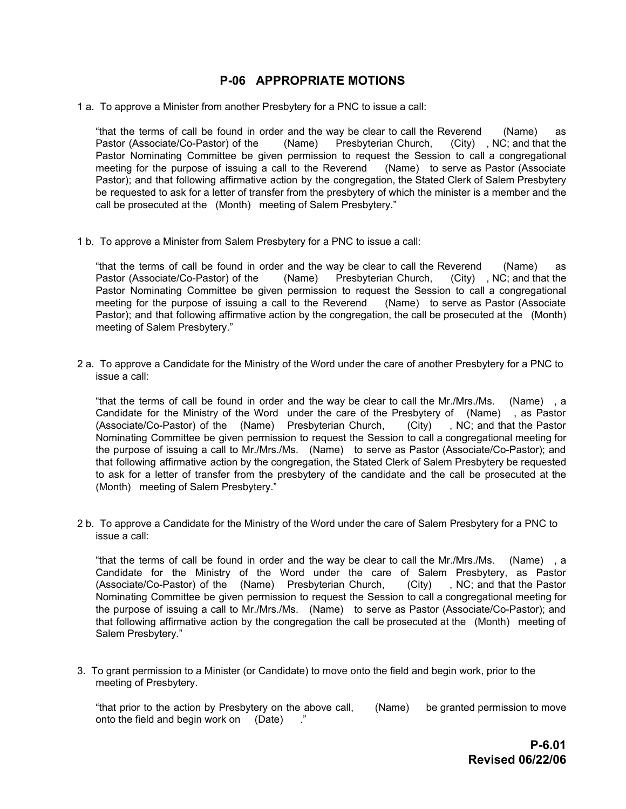## **P-06 APPROPRIATE MOTIONS**

1 a. To approve a Minister from another Presbytery for a PNC to issue a call:

"that the terms of call be found in order and the way be clear to call the Reverend (Name) as<br>Pastor (Associate/Co-Pastor) of the (Name) Presbyterian Church, (City), NC; and that the Pastor (Associate/Co-Pastor) of the (Name) Presbyterian Church, Pastor Nominating Committee be given permission to request the Session to call a congregational meeting for the purpose of issuing a call to the Reverend (Name) to serve as Pastor (Associate Pastor); and that following affirmative action by the congregation, the Stated Clerk of Salem Presbytery be requested to ask for a letter of transfer from the presbytery of which the minister is a member and the call be prosecuted at the (Month) meeting of Salem Presbytery."

1 b. To approve a Minister from Salem Presbytery for a PNC to issue a call:

"that the terms of call be found in order and the way be clear to call the Reverend (Name) as Pastor (Associate/Co-Pastor) of the (Name) Presbyterian Church, (City) , NC; and that the Pastor Nominating Committee be given permission to request the Session to call a congregational meeting for the purpose of issuing a call to the Reverend (Name) to serve as Pastor (Associate Pastor); and that following affirmative action by the congregation, the call be prosecuted at the (Month) meeting of Salem Presbytery."

2 a. To approve a Candidate for the Ministry of the Word under the care of another Presbytery for a PNC to issue a call:

"that the terms of call be found in order and the way be clear to call the Mr./Mrs./Ms. (Name) , a Candidate for the Ministry of the Word under the care of the Presbytery of (Name) , as Pastor (Associate/Co-Pastor) of the (Name) Presbyterian Church, (City) , NC; and that the Pastor Nominating Committee be given permission to request the Session to call a congregational meeting for the purpose of issuing a call to Mr./Mrs./Ms. (Name) to serve as Pastor (Associate/Co-Pastor); and that following affirmative action by the congregation, the Stated Clerk of Salem Presbytery be requested to ask for a letter of transfer from the presbytery of the candidate and the call be prosecuted at the (Month) meeting of Salem Presbytery."

2 b. To approve a Candidate for the Ministry of the Word under the care of Salem Presbytery for a PNC to issue a call:

"that the terms of call be found in order and the way be clear to call the Mr./Mrs./Ms. (Name) , a Candidate for the Ministry of the Word under the care of Salem Presbytery, as Pastor (Associate/Co-Pastor) of the (Name) Presbyterian Church, (City) , NC; and that the Pastor Nominating Committee be given permission to request the Session to call a congregational meeting for the purpose of issuing a call to Mr./Mrs./Ms. (Name) to serve as Pastor (Associate/Co-Pastor); and that following affirmative action by the congregation the call be prosecuted at the (Month) meeting of Salem Presbytery."

3. To grant permission to a Minister (or Candidate) to move onto the field and begin work, prior to the meeting of Presbytery.

"that prior to the action by Presbytery on the above call, (Name) be granted permission to move onto the field and begin work on (Date) ."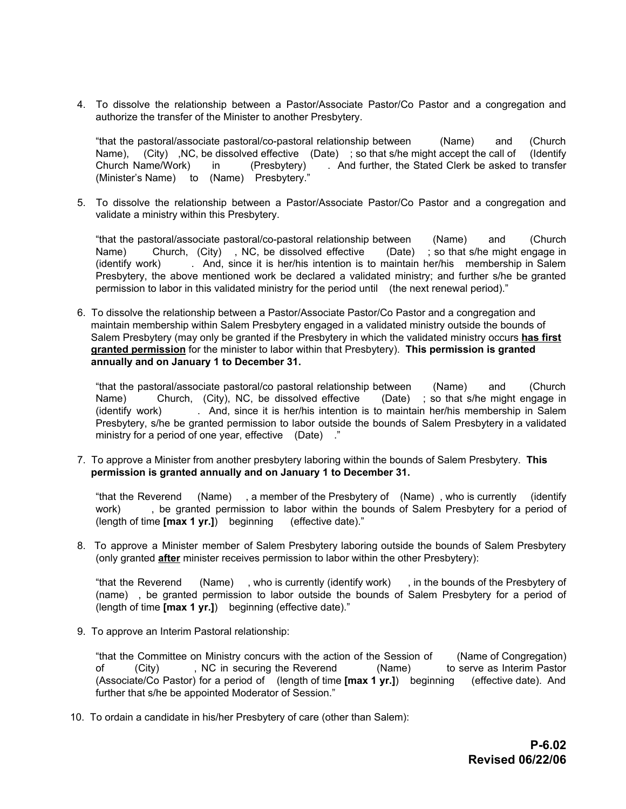4. To dissolve the relationship between a Pastor/Associate Pastor/Co Pastor and a congregation and authorize the transfer of the Minister to another Presbytery.

"that the pastoral/associate pastoral/co-pastoral relationship between (Name) and (Church Name), (City), NC, be dissolved effective (Date); so that s/he might accept the call of (Identify Church Name/Work) in (Presbytery) . And further, the Stated Clerk be asked to transfer (Minister's Name) to (Name) Presbytery."

5. To dissolve the relationship between a Pastor/Associate Pastor/Co Pastor and a congregation and validate a ministry within this Presbytery.

"that the pastoral/associate pastoral/co-pastoral relationship between (Name) and (Church Name) Church, (City) , NC, be dissolved effective (Date) ; so that s/he might engage in (identify work) . And, since it is her/his intention is to maintain her/his membership in Salem Presbytery, the above mentioned work be declared a validated ministry; and further s/he be granted permission to labor in this validated ministry for the period until (the next renewal period)."

6. To dissolve the relationship between a Pastor/Associate Pastor/Co Pastor and a congregation and maintain membership within Salem Presbytery engaged in a validated ministry outside the bounds of Salem Presbytery (may only be granted if the Presbytery in which the validated ministry occurs **has first granted permission** for the minister to labor within that Presbytery). **This permission is granted annually and on January 1 to December 31.**

"that the pastoral/associate pastoral/co pastoral relationship between (Name) and (Church Name) Church, (City), NC, be dissolved effective (Date) ; so that s/he might engage in (identify work) . And, since it is her/his intention is to maintain her/his membership in Salem Presbytery, s/he be granted permission to labor outside the bounds of Salem Presbytery in a validated ministry for a period of one year, effective (Date) ."

7. To approve a Minister from another presbytery laboring within the bounds of Salem Presbytery. **This permission is granted annually and on January 1 to December 31.**

"that the Reverend (Name) , a member of the Presbytery of (Name) , who is currently (identify work) , be granted permission to labor within the bounds of Salem Presbytery for a period of (length of time **[max 1 yr.]**) beginning (effective date)."

8. To approve a Minister member of Salem Presbytery laboring outside the bounds of Salem Presbytery (only granted **after** minister receives permission to labor within the other Presbytery):

"that the Reverend (Name) , who is currently (identify work) , in the bounds of the Presbytery of (name) , be granted permission to labor outside the bounds of Salem Presbytery for a period of (length of time **[max 1 yr.]**) beginning (effective date)."

9. To approve an Interim Pastoral relationship:

"that the Committee on Ministry concurs with the action of the Session of (Name of Congregation) of (City) , NC in securing the Reverend (Name) to serve as Interim Pastor (Associate/Co Pastor) for a period of (length of time **[max 1 yr.]**) beginning (effective date). And further that s/he be appointed Moderator of Session."

10. To ordain a candidate in his/her Presbytery of care (other than Salem):